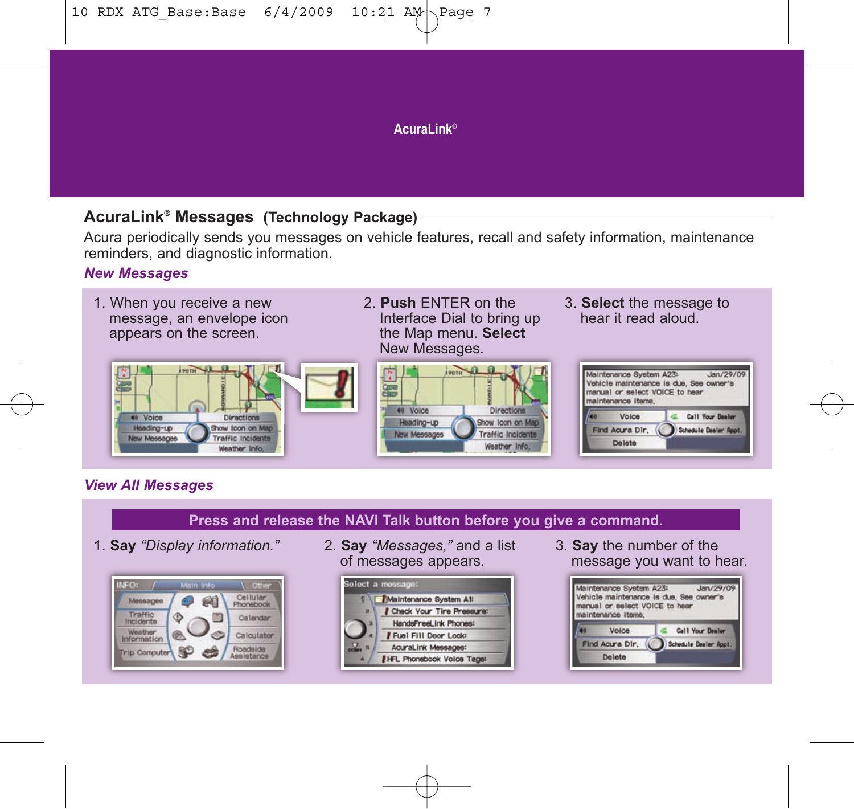## **Acural ink®**

## **AcuraLink® Messages (Technology Package)**

Acura periodically sends you messages on vehicle features, recall and safety information, maintenance reminders, and diagnostic information.

## *New Messages*



- 2. **Push** ENTER on the Interface Dial to bring up the Map menu. **Select** New Messages.
	- $\sim$  0 40 Voice Directions Heading-up Show Icon on Mag New Messages **Traffic Incidents** Weather Info.
- 3. **Select** the message to hear it read aloud.



# *View All Messages*

## **Press and release the NAVI Talk button before you give a command.**



1. **Say** *"Display information."* 2. **Say** *"Messages,"* and a list of messages appears.



3. **Say** the number of the message you want to hear.